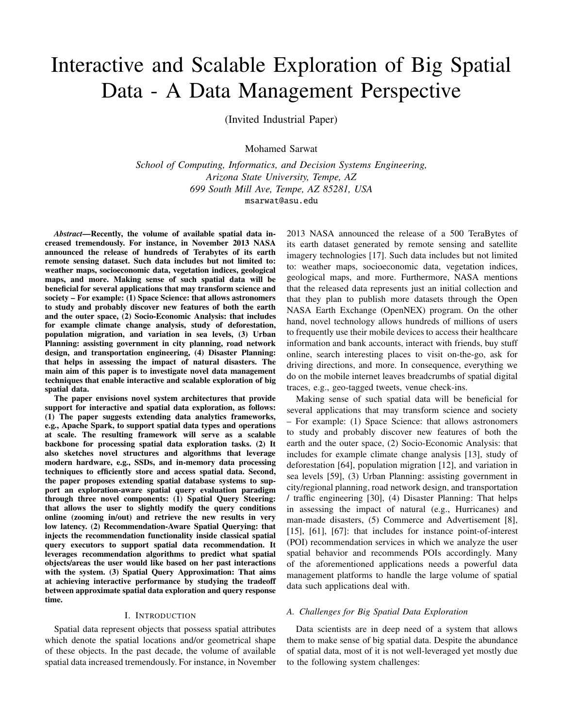# Interactive and Scalable Exploration of Big Spatial Data - A Data Management Perspective

(Invited Industrial Paper)

Mohamed Sarwat

*School of Computing, Informatics, and Decision Systems Engineering, Arizona State University, Tempe, AZ 699 South Mill Ave, Tempe, AZ 85281, USA* msarwat@asu.edu

*Abstract*—Recently, the volume of available spatial data increased tremendously. For instance, in November 2013 NASA announced the release of hundreds of Terabytes of its earth remote sensing dataset. Such data includes but not limited to: weather maps, socioeconomic data, vegetation indices, geological maps, and more. Making sense of such spatial data will be beneficial for several applications that may transform science and society – For example: (1) Space Science: that allows astronomers to study and probably discover new features of both the earth and the outer space, (2) Socio-Economic Analysis: that includes for example climate change analysis, study of deforestation, population migration, and variation in sea levels, (3) Urban Planning: assisting government in city planning, road network design, and transportation engineering, (4) Disaster Planning: that helps in assessing the impact of natural disasters. The main aim of this paper is to investigate novel data management techniques that enable interactive and scalable exploration of big spatial data.

The paper envisions novel system architectures that provide support for interactive and spatial data exploration, as follows: (1) The paper suggests extending data analytics frameworks, e.g., Apache Spark, to support spatial data types and operations at scale. The resulting framework will serve as a scalable backbone for processing spatial data exploration tasks. (2) It also sketches novel structures and algorithms that leverage modern hardware, e.g., SSDs, and in-memory data processing techniques to efficiently store and access spatial data. Second, the paper proposes extending spatial database systems to support an exploration-aware spatial query evaluation paradigm through three novel components: (1) Spatial Query Steering: that allows the user to slightly modify the query conditions online (zooming in/out) and retrieve the new results in very low latency. (2) Recommendation-Aware Spatial Querying: that injects the recommendation functionality inside classical spatial query executors to support spatial data recommendation. It leverages recommendation algorithms to predict what spatial objects/areas the user would like based on her past interactions with the system. (3) Spatial Query Approximation: That aims at achieving interactive performance by studying the tradeoff between approximate spatial data exploration and query response time.

#### I. INTRODUCTION

Spatial data represent objects that possess spatial attributes which denote the spatial locations and/or geometrical shape of these objects. In the past decade, the volume of available spatial data increased tremendously. For instance, in November

2013 NASA announced the release of a 500 TeraBytes of its earth dataset generated by remote sensing and satellite imagery technologies [17]. Such data includes but not limited to: weather maps, socioeconomic data, vegetation indices, geological maps, and more. Furthermore, NASA mentions that the released data represents just an initial collection and that they plan to publish more datasets through the Open NASA Earth Exchange (OpenNEX) program. On the other hand, novel technology allows hundreds of millions of users to frequently use their mobile devices to access their healthcare information and bank accounts, interact with friends, buy stuff online, search interesting places to visit on-the-go, ask for driving directions, and more. In consequence, everything we do on the mobile internet leaves breadcrumbs of spatial digital traces, e.g., geo-tagged tweets, venue check-ins.

Making sense of such spatial data will be beneficial for several applications that may transform science and society – For example: (1) Space Science: that allows astronomers to study and probably discover new features of both the earth and the outer space, (2) Socio-Economic Analysis: that includes for example climate change analysis [13], study of deforestation [64], population migration [12], and variation in sea levels [59], (3) Urban Planning: assisting government in city/regional planning, road network design, and transportation / traffic engineering [30], (4) Disaster Planning: That helps in assessing the impact of natural (e.g., Hurricanes) and man-made disasters, (5) Commerce and Advertisement [8], [15], [61], [67]: that includes for instance point-of-interest (POI) recommendation services in which we analyze the user spatial behavior and recommends POIs accordingly. Many of the aforementioned applications needs a powerful data management platforms to handle the large volume of spatial data such applications deal with.

## *A. Challenges for Big Spatial Data Exploration*

Data scientists are in deep need of a system that allows them to make sense of big spatial data. Despite the abundance of spatial data, most of it is not well-leveraged yet mostly due to the following system challenges: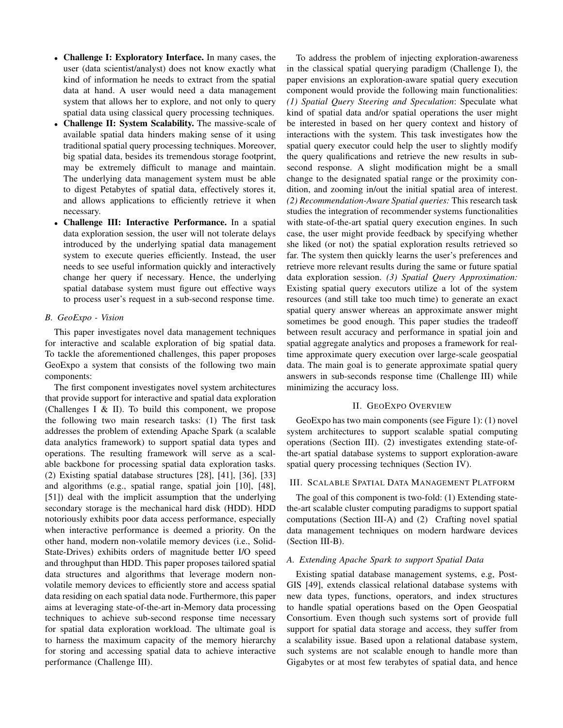- Challenge I: Exploratory Interface. In many cases, the user (data scientist/analyst) does not know exactly what kind of information he needs to extract from the spatial data at hand. A user would need a data management system that allows her to explore, and not only to query spatial data using classical query processing techniques.
- Challenge II: System Scalability. The massive-scale of available spatial data hinders making sense of it using traditional spatial query processing techniques. Moreover, big spatial data, besides its tremendous storage footprint, may be extremely difficult to manage and maintain. The underlying data management system must be able to digest Petabytes of spatial data, effectively stores it, and allows applications to efficiently retrieve it when necessary.
- Challenge III: Interactive Performance. In a spatial data exploration session, the user will not tolerate delays introduced by the underlying spatial data management system to execute queries efficiently. Instead, the user needs to see useful information quickly and interactively change her query if necessary. Hence, the underlying spatial database system must figure out effective ways to process user's request in a sub-second response time.

## *B. GeoExpo - Vision*

This paper investigates novel data management techniques for interactive and scalable exploration of big spatial data. To tackle the aforementioned challenges, this paper proposes GeoExpo a system that consists of the following two main components:

The first component investigates novel system architectures that provide support for interactive and spatial data exploration (Challenges I & II). To build this component, we propose the following two main research tasks: (1) The first task addresses the problem of extending Apache Spark (a scalable data analytics framework) to support spatial data types and operations. The resulting framework will serve as a scalable backbone for processing spatial data exploration tasks. (2) Existing spatial database structures [28], [41], [36], [33] and algorithms (e.g., spatial range, spatial join [10], [48], [51]) deal with the implicit assumption that the underlying secondary storage is the mechanical hard disk (HDD). HDD notoriously exhibits poor data access performance, especially when interactive performance is deemed a priority. On the other hand, modern non-volatile memory devices (i.e., Solid-State-Drives) exhibits orders of magnitude better I/O speed and throughput than HDD. This paper proposes tailored spatial data structures and algorithms that leverage modern nonvolatile memory devices to efficiently store and access spatial data residing on each spatial data node. Furthermore, this paper aims at leveraging state-of-the-art in-Memory data processing techniques to achieve sub-second response time necessary for spatial data exploration workload. The ultimate goal is to harness the maximum capacity of the memory hierarchy for storing and accessing spatial data to achieve interactive performance (Challenge III).

To address the problem of injecting exploration-awareness in the classical spatial querying paradigm (Challenge I), the paper envisions an exploration-aware spatial query execution component would provide the following main functionalities: *(1) Spatial Query Steering and Speculation*: Speculate what kind of spatial data and/or spatial operations the user might be interested in based on her query context and history of interactions with the system. This task investigates how the spatial query executor could help the user to slightly modify the query qualifications and retrieve the new results in subsecond response. A slight modification might be a small change to the designated spatial range or the proximity condition, and zooming in/out the initial spatial area of interest. *(2) Recommendation-Aware Spatial queries:* This research task studies the integration of recommender systems functionalities with state-of-the-art spatial query execution engines. In such case, the user might provide feedback by specifying whether she liked (or not) the spatial exploration results retrieved so far. The system then quickly learns the user's preferences and retrieve more relevant results during the same or future spatial data exploration session. *(3) Spatial Query Approximation:* Existing spatial query executors utilize a lot of the system resources (and still take too much time) to generate an exact spatial query answer whereas an approximate answer might sometimes be good enough. This paper studies the tradeoff between result accuracy and performance in spatial join and spatial aggregate analytics and proposes a framework for realtime approximate query execution over large-scale geospatial data. The main goal is to generate approximate spatial query answers in sub-seconds response time (Challenge III) while minimizing the accuracy loss.

## II. GEOEXPO OVERVIEW

GeoExpo has two main components (see Figure 1): (1) novel system architectures to support scalable spatial computing operations (Section III). (2) investigates extending state-ofthe-art spatial database systems to support exploration-aware spatial query processing techniques (Section IV).

## III. SCALABLE SPATIAL DATA MANAGEMENT PLATFORM

The goal of this component is two-fold: (1) Extending statethe-art scalable cluster computing paradigms to support spatial computations (Section III-A) and (2) Crafting novel spatial data management techniques on modern hardware devices (Section III-B).

## *A. Extending Apache Spark to support Spatial Data*

Existing spatial database management systems, e.g, Post-GIS [49], extends classical relational database systems with new data types, functions, operators, and index structures to handle spatial operations based on the Open Geospatial Consortium. Even though such systems sort of provide full support for spatial data storage and access, they suffer from a scalability issue. Based upon a relational database system, such systems are not scalable enough to handle more than Gigabytes or at most few terabytes of spatial data, and hence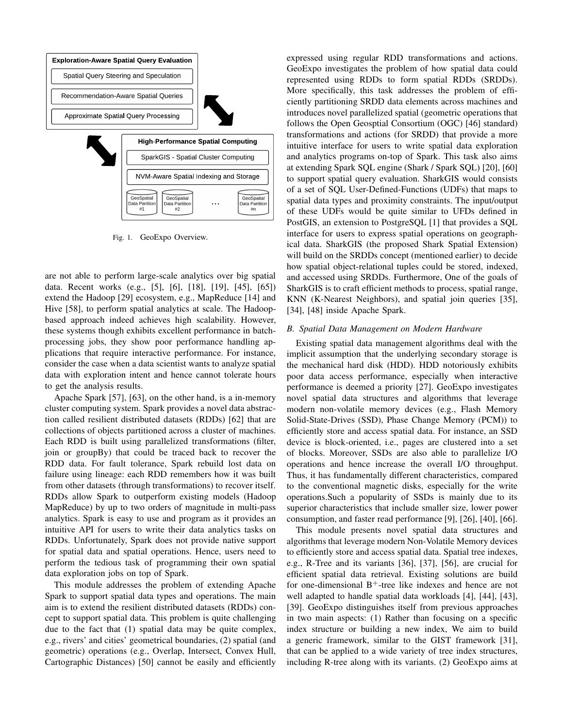

Fig. 1. GeoExpo Overview.

are not able to perform large-scale analytics over big spatial data. Recent works (e.g., [5], [6], [18], [19], [45], [65]) extend the Hadoop [29] ecosystem, e.g., MapReduce [14] and Hive [58], to perform spatial analytics at scale. The Hadoopbased approach indeed achieves high scalability. However, these systems though exhibits excellent performance in batchprocessing jobs, they show poor performance handling applications that require interactive performance. For instance, consider the case when a data scientist wants to analyze spatial data with exploration intent and hence cannot tolerate hours to get the analysis results.

Apache Spark [57], [63], on the other hand, is a in-memory cluster computing system. Spark provides a novel data abstraction called resilient distributed datasets (RDDs) [62] that are collections of objects partitioned across a cluster of machines. Each RDD is built using parallelized transformations (filter, join or groupBy) that could be traced back to recover the RDD data. For fault tolerance, Spark rebuild lost data on failure using lineage: each RDD remembers how it was built from other datasets (through transformations) to recover itself. RDDs allow Spark to outperform existing models (Hadoop MapReduce) by up to two orders of magnitude in multi-pass analytics. Spark is easy to use and program as it provides an intuitive API for users to write their data analytics tasks on RDDs. Unfortunately, Spark does not provide native support for spatial data and spatial operations. Hence, users need to perform the tedious task of programming their own spatial data exploration jobs on top of Spark.

This module addresses the problem of extending Apache Spark to support spatial data types and operations. The main aim is to extend the resilient distributed datasets (RDDs) concept to support spatial data. This problem is quite challenging due to the fact that (1) spatial data may be quite complex, e.g., rivers' and cities' geometrical boundaries, (2) spatial (and geometric) operations (e.g., Overlap, Intersect, Convex Hull, Cartographic Distances) [50] cannot be easily and efficiently expressed using regular RDD transformations and actions. GeoExpo investigates the problem of how spatial data could represented using RDDs to form spatial RDDs (SRDDs). More specifically, this task addresses the problem of efficiently partitioning SRDD data elements across machines and introduces novel parallelized spatial (geometric operations that follows the Open Geosptial Consortium (OGC) [46] standard) transformations and actions (for SRDD) that provide a more intuitive interface for users to write spatial data exploration and analytics programs on-top of Spark. This task also aims at extending Spark SQL engine (Shark / Spark SQL) [20], [60] to support spatial query evaluation. SharkGIS would consists of a set of SQL User-Defined-Functions (UDFs) that maps to spatial data types and proximity constraints. The input/output of these UDFs would be quite similar to UFDs defined in PostGIS, an extension to PostgreSQL [1] that provides a SQL interface for users to express spatial operations on geographical data. SharkGIS (the proposed Shark Spatial Extension) will build on the SRDDs concept (mentioned earlier) to decide how spatial object-relational tuples could be stored, indexed, and accessed using SRDDs. Furthermore, One of the goals of SharkGIS is to craft efficient methods to process, spatial range, KNN (K-Nearest Neighbors), and spatial join queries [35], [34], [48] inside Apache Spark.

### *B. Spatial Data Management on Modern Hardware*

Existing spatial data management algorithms deal with the implicit assumption that the underlying secondary storage is the mechanical hard disk (HDD). HDD notoriously exhibits poor data access performance, especially when interactive performance is deemed a priority [27]. GeoExpo investigates novel spatial data structures and algorithms that leverage modern non-volatile memory devices (e.g., Flash Memory Solid-State-Drives (SSD), Phase Change Memory (PCM)) to efficiently store and access spatial data. For instance, an SSD device is block-oriented, i.e., pages are clustered into a set of blocks. Moreover, SSDs are also able to parallelize I/O operations and hence increase the overall I/O throughput. Thus, it has fundamentally different characteristics, compared to the conventional magnetic disks, especially for the write operations.Such a popularity of SSDs is mainly due to its superior characteristics that include smaller size, lower power consumption, and faster read performance [9], [26], [40], [66].

This module presents novel spatial data structures and algorithms that leverage modern Non-Volatile Memory devices to efficiently store and access spatial data. Spatial tree indexes, e.g., R-Tree and its variants [36], [37], [56], are crucial for efficient spatial data retrieval. Existing solutions are build for one-dimensional  $B^+$ -tree like indexes and hence are not well adapted to handle spatial data workloads [4], [44], [43], [39]. GeoExpo distinguishes itself from previous approaches in two main aspects: (1) Rather than focusing on a specific index structure or building a new index, We aim to build a generic framework, similar to the GIST framework [31], that can be applied to a wide variety of tree index structures, including R-tree along with its variants. (2) GeoExpo aims at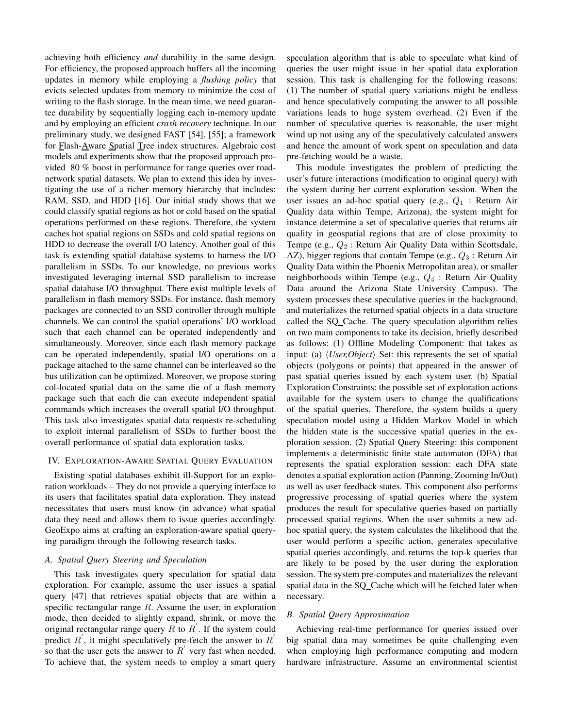achieving both efficiency *and* durability in the same design. For efficiency, the proposed approach buffers all the incoming updates in memory while employing a *flushing policy* that evicts selected updates from memory to minimize the cost of writing to the flash storage. In the mean time, we need guarantee durability by sequentially logging each in-memory update and by employing an efficient *crash recovery* technique. In our preliminary study, we designed FAST [54], [55]; a framework for Flash-Aware Spatial Tree index structures. Algebraic cost models and experiments show that the proposed approach provided 80 % boost in performance for range queries over roadnetwork spatial datasets. We plan to extend this idea by investigating the use of a richer memory hierarchy that includes: RAM, SSD, and HDD [16]. Our initial study shows that we could classify spatial regions as hot or cold based on the spatial operations performed on these regions. Therefore, the system caches hot spatial regions on SSDs and cold spatial regions on HDD to decrease the overall I/O latency. Another goal of this task is extending spatial database systems to harness the I/O parallelism in SSDs. To our knowledge, no previous works investigated leveraging internal SSD parallelism to increase spatial database I/O throughput. There exist multiple levels of parallelism in flash memory SSDs. For instance, flash memory packages are connected to an SSD controller through multiple channels. We can control the spatial operations' I/O workload such that each channel can be operated independently and simultaneously. Moreover, since each flash memory package can be operated independently, spatial I/O operations on a package attached to the same channel can be interleaved so the bus utilization can be optimized. Moreover, we propose storing col-located spatial data on the same die of a flash memory package such that each die can execute independent spatial commands which increases the overall spatial I/O throughput. This task also investigates spatial data requests re-scheduling to exploit internal parallelism of SSDs to further boost the overall performance of spatial data exploration tasks.

## IV. EXPLORATION-AWARE SPATIAL QUERY EVALUATION

Existing spatial databases exhibit ill-Support for an exploration workloads – They do not provide a querying interface to its users that facilitates spatial data exploration. They instead necessitates that users must know (in advance) what spatial data they need and allows them to issue queries accordingly. GeoExpo aims at crafting an exploration-aware spatial querying paradigm through the following research tasks.

## *A. Spatial Query Steering and Speculation*

This task investigates query speculation for spatial data exploration. For example, assume the user issues a spatial query [47] that retrieves spatial objects that are within a specific rectangular range  $R$ . Assume the user, in exploration mode, then decided to slightly expand, shrink, or move the original rectangular range query  $R$  to  $R'$ . If the system could predict  $R'$ , it might speculatively pre-fetch the answer to  $R$ so that the user gets the answer to  $R'$  very fast when needed. To achieve that, the system needs to employ a smart query speculation algorithm that is able to speculate what kind of queries the user might issue in her spatial data exploration session. This task is challenging for the following reasons: (1) The number of spatial query variations might be endless and hence speculatively computing the answer to all possible variations leads to huge system overhead. (2) Even if the number of speculative queries is reasonable, the user might wind up not using any of the speculatively calculated answers and hence the amount of work spent on speculation and data pre-fetching would be a waste.

This module investigates the problem of predicting the user's future interactions (modification to original query) with the system during her current exploration session. When the user issues an ad-hoc spatial query (e.g.,  $Q_1$  : Return Air Quality data within Tempe, Arizona), the system might for instance determine a set of speculative queries that returns air quality in geospatial regions that are of close proximity to Tempe (e.g.,  $Q_2$ : Return Air Quality Data within Scottsdale, AZ), bigger regions that contain Tempe (e.g.,  $Q_3$ : Return Air Quality Data within the Phoenix Metropolitan area), or smaller neighborhoods within Tempe (e.g.,  $Q_4$ : Return Air Quality Data around the Arizona State University Campus). The system processes these speculative queries in the background, and materializes the returned spatial objects in a data structure called the SQ Cache. The query speculation algorithm relies on two main components to take its decision, briefly described as follows: (1) Offline Modeling Component: that takes as input: (a)  $\langle User,Object \rangle$  Set: this represents the set of spatial objects (polygons or points) that appeared in the answer of past spatial queries issued by each system user. (b) Spatial Exploration Constraints: the possible set of exploration actions available for the system users to change the qualifications of the spatial queries. Therefore, the system builds a query speculation model using a Hidden Markov Model in which the hidden state is the successive spatial queries in the exploration session. (2) Spatial Query Steering: this component implements a deterministic finite state automaton (DFA) that represents the spatial exploration session: each DFA state denotes a spatial exploration action (Panning, Zooming In/Out) as well as user feedback states. This component also performs progressive processing of spatial queries where the system produces the result for speculative queries based on partially processed spatial regions. When the user submits a new adhoc spatial query, the system calculates the likelihood that the user would perform a specific action, generates speculative spatial queries accordingly, and returns the top-k queries that are likely to be posed by the user during the exploration session. The system pre-computes and materializes the relevant spatial data in the SQ Cache which will be fetched later when necessary.

## *B. Spatial Query Approximation*

Achieving real-time performance for queries issued over big spatial data may sometimes be quite challenging even when employing high performance computing and modern hardware infrastructure. Assume an environmental scientist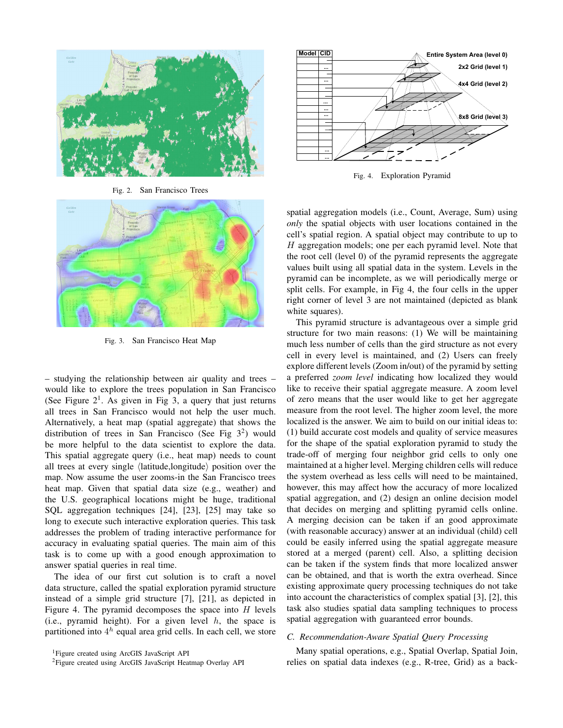

Fig. 2. San Francisco Trees



Fig. 3. San Francisco Heat Map

– studying the relationship between air quality and trees – would like to explore the trees population in San Francisco (See Figure  $2^1$ . As given in Fig 3, a query that just returns all trees in San Francisco would not help the user much. Alternatively, a heat map (spatial aggregate) that shows the distribution of trees in San Francisco (See Fig  $3^2$ ) would be more helpful to the data scientist to explore the data. This spatial aggregate query (i.e., heat map) needs to count all trees at every single  $\langle$ latitude,longitude $\rangle$  position over the map. Now assume the user zooms-in the San Francisco trees heat map. Given that spatial data size (e.g., weather) and the U.S. geographical locations might be huge, traditional SQL aggregation techniques [24], [23], [25] may take so long to execute such interactive exploration queries. This task addresses the problem of trading interactive performance for accuracy in evaluating spatial queries. The main aim of this task is to come up with a good enough approximation to answer spatial queries in real time.

The idea of our first cut solution is to craft a novel data structure, called the spatial exploration pyramid structure instead of a simple grid structure [7], [21], as depicted in Figure 4. The pyramid decomposes the space into  $H$  levels (i.e., pyramid height). For a given level  $h$ , the space is partitioned into  $4^h$  equal area grid cells. In each cell, we store



<sup>2</sup>Figure created using ArcGIS JavaScript Heatmap Overlay API



Fig. 4. Exploration Pyramid

spatial aggregation models (i.e., Count, Average, Sum) using *only* the spatial objects with user locations contained in the cell's spatial region. A spatial object may contribute to up to H aggregation models; one per each pyramid level. Note that the root cell (level 0) of the pyramid represents the aggregate values built using all spatial data in the system. Levels in the pyramid can be incomplete, as we will periodically merge or split cells. For example, in Fig 4, the four cells in the upper right corner of level 3 are not maintained (depicted as blank white squares).

This pyramid structure is advantageous over a simple grid structure for two main reasons: (1) We will be maintaining much less number of cells than the gird structure as not every cell in every level is maintained, and (2) Users can freely explore different levels (Zoom in/out) of the pyramid by setting a preferred *zoom level* indicating how localized they would like to receive their spatial aggregate measure. A zoom level of zero means that the user would like to get her aggregate measure from the root level. The higher zoom level, the more localized is the answer. We aim to build on our initial ideas to: (1) build accurate cost models and quality of service measures for the shape of the spatial exploration pyramid to study the trade-off of merging four neighbor grid cells to only one maintained at a higher level. Merging children cells will reduce the system overhead as less cells will need to be maintained, however, this may affect how the accuracy of more localized spatial aggregation, and (2) design an online decision model that decides on merging and splitting pyramid cells online. A merging decision can be taken if an good approximate (with reasonable accuracy) answer at an individual (child) cell could be easily inferred using the spatial aggregate measure stored at a merged (parent) cell. Also, a splitting decision can be taken if the system finds that more localized answer can be obtained, and that is worth the extra overhead. Since existing approximate query processing techniques do not take into account the characteristics of complex spatial [3], [2], this task also studies spatial data sampling techniques to process spatial aggregation with guaranteed error bounds.

## *C. Recommendation-Aware Spatial Query Processing*

Many spatial operations, e.g., Spatial Overlap, Spatial Join, relies on spatial data indexes (e.g., R-tree, Grid) as a back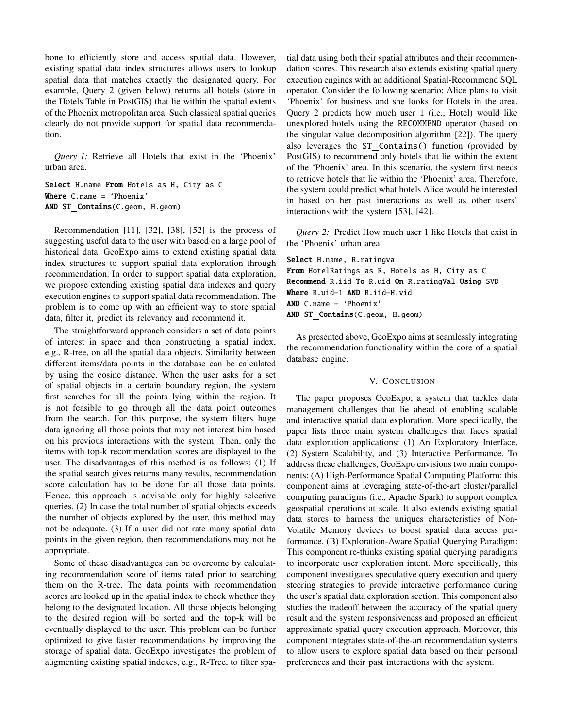bone to efficiently store and access spatial data. However, existing spatial data index structures allows users to lookup spatial data that matches exactly the designated query. For example, Query 2 (given below) returns all hotels (store in the Hotels Table in PostGIS) that lie within the spatial extents of the Phoenix metropolitan area. Such classical spatial queries clearly do not provide support for spatial data recommendation.

*Query 1:* Retrieve all Hotels that exist in the 'Phoenix' urban area.

Select H.name From Hotels as H, City as C Where C.name = 'Phoenix' AND ST Contains(C.geom, H.geom)

Recommendation [11], [32], [38], [52] is the process of suggesting useful data to the user with based on a large pool of historical data. GeoExpo aims to extend existing spatial data index structures to support spatial data exploration through recommendation. In order to support spatial data exploration, we propose extending existing spatial data indexes and query execution engines to support spatial data recommendation. The problem is to come up with an efficient way to store spatial data, filter it, predict its relevancy and recommend it.

The straightforward approach considers a set of data points of interest in space and then constructing a spatial index, e.g., R-tree, on all the spatial data objects. Similarity between different items/data points in the database can be calculated by using the cosine distance. When the user asks for a set of spatial objects in a certain boundary region, the system first searches for all the points lying within the region. It is not feasible to go through all the data point outcomes from the search. For this purpose, the system filters huge data ignoring all those points that may not interest him based on his previous interactions with the system. Then, only the items with top-k recommendation scores are displayed to the user. The disadvantages of this method is as follows: (1) If the spatial search gives returns many results, recommendation score calculation has to be done for all those data points. Hence, this approach is advisable only for highly selective queries. (2) In case the total number of spatial objects exceeds the number of objects explored by the user, this method may not be adequate. (3) If a user did not rate many spatial data points in the given region, then recommendations may not be appropriate.

Some of these disadvantages can be overcome by calculating recommendation score of items rated prior to searching them on the R-tree. The data points with recommendation scores are looked up in the spatial index to check whether they belong to the designated location. All those objects belonging to the desired region will be sorted and the top-k will be eventually displayed to the user. This problem can be further optimized to give faster recommendations by improving the storage of spatial data. GeoExpo investigates the problem of augmenting existing spatial indexes, e.g., R-Tree, to filter spa-

tial data using both their spatial attributes and their recommendation scores. This research also extends existing spatial query execution engines with an additional Spatial-Recommend SQL operator. Consider the following scenario: Alice plans to visit 'Phoenix' for business and she looks for Hotels in the area. Query 2 predicts how much user 1 (i.e., Hotel) would like unexplored hotels using the RECOMMEND operator (based on the singular value decomposition algorithm [22]). The query also leverages the ST Contains() function (provided by PostGIS) to recommend only hotels that lie within the extent of the 'Phoenix' area. In this scenario, the system first needs to retrieve hotels that lie within the 'Phoenix' area. Therefore, the system could predict what hotels Alice would be interested in based on her past interactions as well as other users' interactions with the system [53], [42].

*Query 2:* Predict How much user 1 like Hotels that exist in the 'Phoenix' urban area.

```
Select H.name, R.ratingva
From HotelRatings as R, Hotels as H, City as C
Recommend R.iid To R.uid On R.ratingVal Using SVD
Where R.uid=1 AND R.iid=H.vid
AND C.name = 'Phoenix'
AND ST Contains(C.geom, H.geom)
```
As presented above, GeoExpo aims at seamlessly integrating the recommendation functionality within the core of a spatial database engine.

### V. CONCLUSION

The paper proposes GeoExpo; a system that tackles data management challenges that lie ahead of enabling scalable and interactive spatial data exploration. More specifically, the paper lists three main system challenges that faces spatial data exploration applications: (1) An Exploratory Interface, (2) System Scalability, and (3) Interactive Performance. To address these challenges, GeoExpo envisions two main components: (A) High-Performance Spatial Computing Platform: this component aims at leveraging state-of-the-art cluster/parallel computing paradigms (i.e., Apache Spark) to support complex geospatial operations at scale. It also extends existing spatial data stores to harness the uniques characteristics of Non-Volatile Memory devices to boost spatial data access performance. (B) Exploration-Aware Spatial Querying Paradigm: This component re-thinks existing spatial querying paradigms to incorporate user exploration intent. More specifically, this component investigates speculative query execution and query steering strategies to provide interactive performance during the user's spatial data exploration section. This component also studies the tradeoff between the accuracy of the spatial query result and the system responsiveness and proposed an efficient approximate spatial query execution approach. Moreover, this component integrates state-of-the-art recommendation systems to allow users to explore spatial data based on their personal preferences and their past interactions with the system.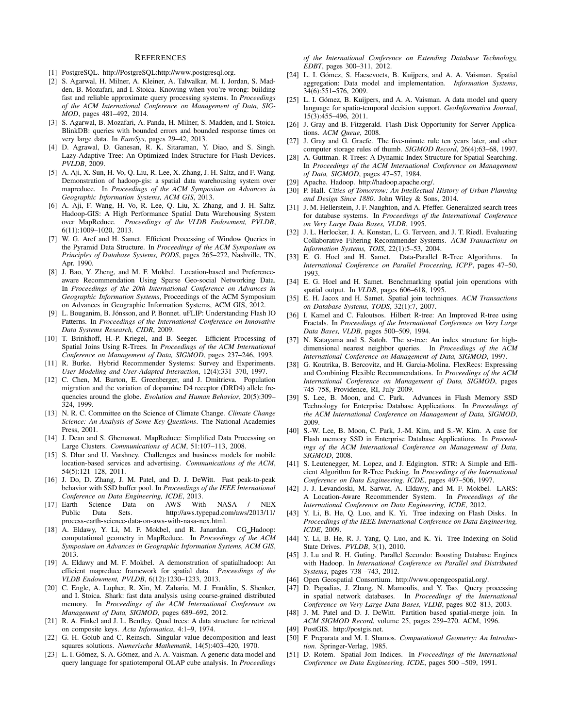#### **REFERENCES**

- [1] PostgreSQL. http://PostgreSQL:http://www.postgresql.org.
- [2] S. Agarwal, H. Milner, A. Kleiner, A. Talwalkar, M. I. Jordan, S. Madden, B. Mozafari, and I. Stoica. Knowing when you're wrong: building fast and reliable approximate query processing systems. In *Proceedings of the ACM International Conference on Management of Data, SIG-MOD*, pages 481–492, 2014.
- [3] S. Agarwal, B. Mozafari, A. Panda, H. Milner, S. Madden, and I. Stoica. BlinkDB: queries with bounded errors and bounded response times on very large data. In *EuroSys*, pages 29–42, 2013.
- [4] D. Agrawal, D. Ganesan, R. K. Sitaraman, Y. Diao, and S. Singh. Lazy-Adaptive Tree: An Optimized Index Structure for Flash Devices. *PVLDB*, 2009.
- [5] A. Aji, X. Sun, H. Vo, Q. Liu, R. Lee, X. Zhang, J. H. Saltz, and F. Wang. Demonstration of hadoop-gis: a spatial data warehousing system over mapreduce. In *Proceedings of the ACM Symposium on Advances in Geographic Information Systems, ACM GIS*, 2013.
- [6] A. Aji, F. Wang, H. Vo, R. Lee, Q. Liu, X. Zhang, and J. H. Saltz. Hadoop-GIS: A High Performance Spatial Data Warehousing System over MapReduce. *Proceedings of the VLDB Endowment, PVLDB*, 6(11):1009–1020, 2013.
- [7] W. G. Aref and H. Samet. Efficient Processing of Window Queries in the Pyramid Data Structure. In *Proceedings of the ACM Symposium on Principles of Database Systems, PODS*, pages 265–272, Nashville, TN, Apr. 1990.
- [8] J. Bao, Y. Zheng, and M. F. Mokbel. Location-based and Preferenceaware Recommendation Using Sparse Geo-social Networking Data. In *Proceedings of the 20th International Conference on Advances in Geographic Information Systems*, Proceedings of the ACM Symposium on Advances in Geographic Information Systems, ACM GIS, 2012.
- [9] L. Bouganim, B. Jónsson, and P. Bonnet. uFLIP: Understanding Flash IO Patterns. In *Proceedings of the International Conference on Innovative Data Systems Research, CIDR*, 2009.
- [10] T. Brinkhoff, H.-P. Kriegel, and B. Seeger. Efficient Processing of Spatial Joins Using R-Trees. In *Proceedings of the ACM International Conference on Management of Data, SIGMOD*, pages 237–246, 1993.
- [11] R. Burke. Hybrid Recommender Systems: Survey and Experiments. *User Modeling and User-Adapted Interaction*, 12(4):331–370, 1997.
- [12] C. Chen, M. Burton, E. Greenberger, and J. Dmitrieva. Population migration and the variation of dopamine D4 receptor (DRD4) allele frequencies around the globe. *Evolution and Human Behavior*, 20(5):309– 324, 1999.
- [13] N. R. C. Committee on the Science of Climate Change. *Climate Change Science: An Analysis of Some Key Questions*. The National Academies Press, 2001.
- [14] J. Dean and S. Ghemawat. MapReduce: Simplified Data Processing on Large Clusters. *Communications of ACM*, 51:107–113, 2008.
- [15] S. Dhar and U. Varshney. Challenges and business models for mobile location-based services and advertising. *Communications of the ACM*, 54(5):121–128, 2011.
- [16] J. Do, D. Zhang, J. M. Patel, and D. J. DeWitt. Fast peak-to-peak behavior with SSD buffer pool. In *Proceedings of the IEEE International Conference on Data Engineering, ICDE*, 2013.
- [17] Earth Science Data on AWS With NASA / NEX Public Data Sets. http://aws.typepad.com/aws/2013/11/ process-earth-science-data-on-aws-with-nasa-nex.html.
- [18] A. Eldawy, Y. Li, M. F. Mokbel, and R. Janardan. CG Hadoop: computational geometry in MapReduce. In *Proceedings of the ACM Symposium on Advances in Geographic Information Systems, ACM GIS*, 2013.
- [19] A. Eldawy and M. F. Mokbel. A demonstration of spatialhadoop: An efficient mapreduce framework for spatial data. *Proceedings of the VLDB Endowment, PVLDB*, 6(12):1230–1233, 2013.
- [20] C. Engle, A. Lupher, R. Xin, M. Zaharia, M. J. Franklin, S. Shenker, and I. Stoica. Shark: fast data analysis using coarse-grained distributed memory. In *Proceedings of the ACM International Conference on Management of Data, SIGMOD*, pages 689–692, 2012.
- [21] R. A. Finkel and J. L. Bentley. Quad trees: A data structure for retrieval on composite keys. *Acta Informatica*, 4:1–9, 1974.
- [22] G. H. Golub and C. Reinsch. Singular value decomposition and least squares solutions. *Numerische Mathematik*, 14(5):403–420, 1970.
- [23] L. I. Gómez, S. A. Gómez, and A. A. Vaisman. A generic data model and query language for spatiotemporal OLAP cube analysis. In *Proceedings*

*of the International Conference on Extending Database Technology, EDBT*, pages 300–311, 2012.

- [24] L. I. Gómez, S. Haesevoets, B. Kuijpers, and A. A. Vaisman. Spatial aggregation: Data model and implementation. *Information Systems*, 34(6):551–576, 2009.
- [25] L. I. Gómez, B. Kuijpers, and A. A. Vaisman. A data model and query language for spatio-temporal decision support. *GeoInformatica Journal*, 15(3):455–496, 2011.
- [26] J. Gray and B. Fitzgerald. Flash Disk Opportunity for Server Applications. *ACM Queue*, 2008.
- [27] J. Gray and G. Graefe. The five-minute rule ten years later, and other computer storage rules of thumb. *SIGMOD Record*, 26(4):63–68, 1997.
- [28] A. Guttman. R-Trees: A Dynamic Index Structure for Spatial Searching. In *Proceedings of the ACM International Conference on Management of Data, SIGMOD*, pages 47–57, 1984.
- [29] Apache. Hadoop. http://hadoop.apache.org/.
- [30] P. Hall. *Cities of Tomorrow: An Intellectual History of Urban Planning and Design Since 1880*. John Wiley & Sons, 2014.
- [31] J. M. Hellerstein, J. F. Naughton, and A. Pfeffer. Generalized search trees for database systems. In *Proceedings of the International Conference on Very Large Data Bases, VLDB*, 1995.
- [32] J. L. Herlocker, J. A. Konstan, L. G. Terveen, and J. T. Riedl. Evaluating Collaborative Filtering Recommender Systems. *ACM Transactions on Information Systems, TOIS*, 22(1):5–53, 2004.
- [33] E. G. Hoel and H. Samet. Data-Parallel R-Tree Algorithms. In *International Conference on Parallel Processing, ICPP*, pages 47–50, 1993.
- [34] E. G. Hoel and H. Samet. Benchmarking spatial join operations with spatial output. In *VLDB*, pages 606–618, 1995.
- [35] E. H. Jacox and H. Samet. Spatial join techniques. *ACM Transactions on Database Systems, TODS*, 32(1):7, 2007.
- [36] I. Kamel and C. Faloutsos. Hilbert R-tree: An Improved R-tree using Fractals. In *Proceedings of the International Conference on Very Large Data Bases, VLDB*, pages 500–509, 1994.
- [37] N. Katayama and S. Satoh. The sr-tree: An index structure for highdimensional nearest neighbor queries. In *Proceedings of the ACM International Conference on Management of Data, SIGMOD*, 1997.
- [38] G. Koutrika, B. Bercovitz, and H. Garcia-Molina. FlexRecs: Expressing and Combining Flexible Recommendations. In *Proceedings of the ACM International Conference on Management of Data, SIGMOD*, pages 745–758, Providence, RI, July 2009.
- [39] S. Lee, B. Moon, and C. Park. Advances in Flash Memory SSD Technology for Enterprise Database Applications. In *Proceedings of the ACM International Conference on Management of Data, SIGMOD*, 2009.
- [40] S.-W. Lee, B. Moon, C. Park, J.-M. Kim, and S.-W. Kim. A case for Flash memory SSD in Enterprise Database Applications. In *Proceedings of the ACM International Conference on Management of Data, SIGMOD*, 2008.
- [41] S. Leutenegger, M. Lopez, and J. Edgington. STR: A Simple and Efficient Algorithm for R-Tree Packing. In *Proceedings of the International Conference on Data Engineering, ICDE*, pages 497–506, 1997.
- [42] J. J. Levandoski, M. Sarwat, A. Eldawy, and M. F. Mokbel. LARS: A Location-Aware Recommender System. In *Proceedings of the International Conference on Data Engineering, ICDE*, 2012.
- [43] Y. Li, B. He, Q. Luo, and K. Yi. Tree indexing on Flash Disks. In *Proceedings of the IEEE International Conference on Data Engineering, ICDE*, 2009.
- [44] Y. Li, B. He, R. J. Yang, O. Luo, and K. Yi. Tree Indexing on Solid State Drives. *PVLDB*, 3(1), 2010.
- [45] J. Lu and R. H. Guting. Parallel Secondo: Boosting Database Engines with Hadoop. In *International Conference on Parallel and Distributed Systems*, pages 738 –743, 2012.
- [46] Open Geospatial Consortium. http://www.opengeospatial.org/.
- [47] D. Papadias, J. Zhang, N. Mamoulis, and Y. Tao. Query processing in spatial network databases. In *Proceedings of the International Conference on Very Large Data Bases, VLDB*, pages 802–813, 2003.
- [48] J. M. Patel and D. J. DeWitt. Partition based spatial-merge join. In *ACM SIGMOD Record*, volume 25, pages 259–270. ACM, 1996.
- [49] PostGIS. http://postgis.net.
- [50] F. Preparata and M. I. Shamos. *Computational Geometry: An Introduction*. Springer-Verlag, 1985.
- [51] D. Rotem. Spatial Join Indices. In *Proceedings of the International Conference on Data Engineering, ICDE*, pages 500 –509, 1991.